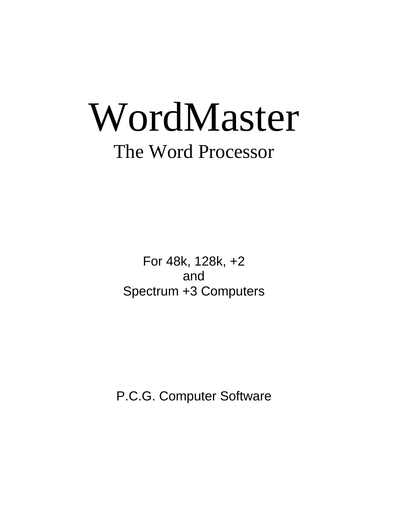# WordMaster The Word Processor

For 48k, 128k, +2 and Spectrum +3 Computers

P.C.G. Computer Software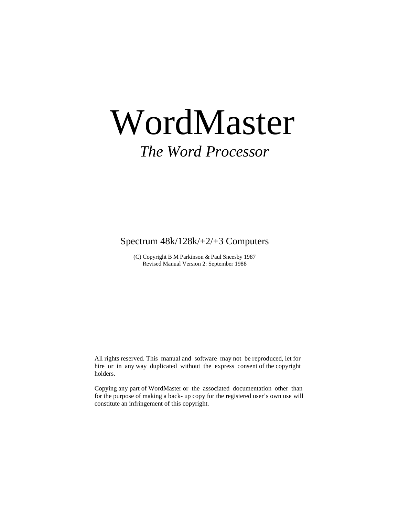# WordMaster

# *The Word Processor*

Spectrum 48k/128k/+2/+3 Computers

(C) Copyright B M Parkinson & Paul Sneesby 1987 Revised Manual Version 2: September 1988

 All rights reserved. This manual and software may not be reproduced, let for hire or in any way duplicated without the express consent of the copyright holders.

 Copying any part of WordMaster or the associated documentation other than for the purpose of making a back- up copy for the registered user's own use will constitute an infringement of this copyright.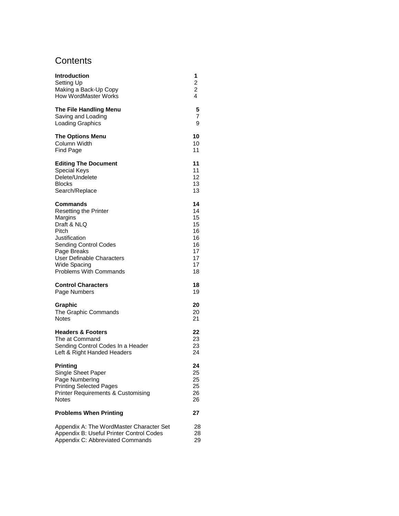# **Contents**

| <b>Introduction</b>                           | 1              |
|-----------------------------------------------|----------------|
| Setting Up                                    | 2              |
| Making a Back-Up Copy                         | $\overline{c}$ |
| <b>How WordMaster Works</b>                   | 4              |
| The File Handling Menu                        | 5              |
| Saving and Loading                            | 7              |
| <b>Loading Graphics</b>                       | 9              |
| <b>The Options Menu</b>                       | 10             |
| Column Width                                  | 10             |
| Find Page                                     | 11             |
| <b>Editing The Document</b>                   | 11             |
| <b>Special Keys</b>                           | 11             |
| Delete/Undelete                               | 12             |
| <b>Blocks</b>                                 | 13             |
| Search/Replace                                | 13             |
| Commands                                      | 14             |
| <b>Resetting the Printer</b>                  | 14             |
| Margins                                       | 15             |
| Draft & NLQ                                   | 15             |
| Pitch                                         | 16             |
| Justification                                 | 16             |
| <b>Sending Control Codes</b>                  | 16             |
| Page Breaks                                   | 17             |
| User Definable Characters                     | 17             |
| Wide Spacing                                  | 17             |
| <b>Problems With Commands</b>                 | 18             |
| <b>Control Characters</b>                     | 18             |
| Page Numbers                                  | 19             |
| Graphic                                       | 20             |
| The Graphic Commands                          | 20             |
| <b>Notes</b>                                  | 21             |
| <b>Headers &amp; Footers</b>                  | 22             |
| The at Command                                | 23             |
| Sending Control Codes In a Header             | 23             |
| Left & Right Handed Headers                   | 24             |
| <b>Printing</b>                               | 24             |
| Single Sheet Paper                            | 25             |
| Page NumberIng                                | 25             |
| <b>Printing Selected Pages</b>                | 25             |
| <b>Printer Requirements &amp; Customising</b> | 26             |
| <b>Notes</b>                                  | 26             |
| <b>Problems When Printing</b>                 | 27             |
| Appendix A: The WordMaster Character Set      | 28             |
| Appendix B: Useful Printer Control Codes      | 28             |
| Appendix C: Abbreviated Commands              | 29             |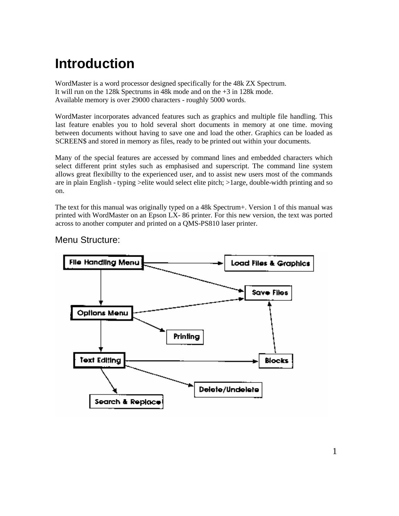# **Introduction**

WordMaster is a word processor designed specifically for the 48k ZX Spectrum. It will run on the 128k Spectrums in 48k mode and on the +3 in 128k mode. Available memory is over 29000 characters - roughly 5000 words.

WordMaster incorporates advanced features such as graphics and multiple file handling. This last feature enables you to hold several short documents in memory at one time. moving between documents without having to save one and load the other. Graphics can be loaded as SCREEN\$ and stored in memory as files, ready to be printed out within your documents.

Many of the special features are accessed by command lines and embedded characters which select different print styles such as emphasised and superscript. The command line system allows great flexibillty to the experienced user, and to assist new users most of the commands are in plain English - typing >elite would select elite pitch; >1arge, double-width printing and so on.

The text for this manual was originally typed on a 48k Spectrum+. Version 1 of this manual was printed with WordMaster on an Epson LX- 86 printer. For this new version, the text was ported across to another computer and printed on a QMS-PS810 laser printer.



Menu Structure: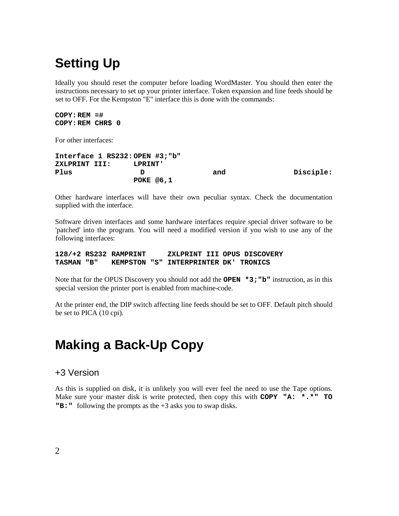# **Setting Up**

Ideally you should reset the computer before loading WordMaster. You should then enter the instructions necessary to set up your printer interface. Token expansion and line feeds should be set to OFF. For the Kempston "E" interface this is done with the commands:

```
COPY:REM =#
COPY:REM CHR$ 0
```
For other interfaces:

**Interface 1 RS232: OPEN #3;"b" ZXLPRINT III: LPRINT'** Plus D **b** and Disciple: **POKE @6,1**

Other hardware interfaces will have their own peculiar syntax. Check the documentation supplied with the interface.

Software driven interfaces and some hardware interfaces require special driver software to be 'patched' into the program. You will need a modified version if you wish to use any of the following interfaces:

**128/+2 RS232 RAMPRINT ZXLPRINT III OPUS DISCOVERY TASMAN "B" KEMPSTON "S" INTERPRINTER DK' TRONICS**

Note that for the OPUS Discovery you should not add the **OPEN \*3;"b"** instruction, as in this special version the printer port is enabled from machine-code.

At the printer end, the DIP switch affecting line feeds should be set to OFF. Default pitch should be set to PICA (10 cpi).

# **Making a Back-Up Copy**

#### +3 Version

As this is supplied on disk, it is unlikely you will ever feel the need to use the Tape options. Make sure your master disk is write protected, then copy this with **COPY "A: \*.\*" TO "B:"** following the prompts as the +3 asks you to swap disks.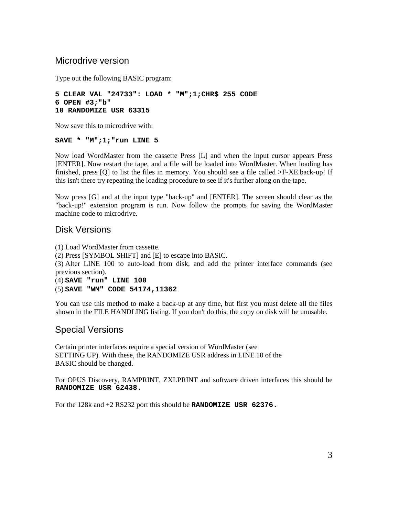#### Microdrive version

Type out the following BASIC program:

```
5 CLEAR VAL "24733": LOAD * "M";1;CHR$ 255 CODE
6 OPEN #3;"b"
10 RANDOMIZE USR 63315
```
Now save this to microdrive with:

#### **SAVE \* "M";1;"run LINE 5**

Now load WordMaster from the cassette Press [L] and when the input cursor appears Press [ENTER]. Now restart the tape, and a file will be loaded into WordMaster. When loading has finished, press [Q] to list the files in memory. You should see a file called >F-XE.back-up! If this isn't there try repeating the loading procedure to see if it's further along on the tape.

Now press [G] and at the input type "back-up" and [ENTER]. The screen should clear as the "back-up!" extension program is run. Now follow the prompts for saving the WordMaster machine code to microdrive.

#### Disk Versions

(1) Load WordMaster from cassette. (2) Press [SYMBOL SHIFT] and [E] to escape into BASIC. (3) Alter LINE 100 to auto-load from disk, and add the printer interface commands (see previous section). (4) **SAVE "run" LINE 100**

(5) **SAVE "WM" CODE 54174,11362**

You can use this method to make a back-up at any time, but first you must delete all the files shown in the FILE HANDLING listing. If you don't do this, the copy on disk will be unusable.

# Special Versions

Certain printer interfaces require a special version of WordMaster (see SETTING UP). With these, the RANDOMIZE USR address in LINE 10 of the BASIC should be changed.

For OPUS Discovery, RAMPRINT, ZXLPRINT and software driven interfaces this should be **RANDOMIZE USR 62438.**

For the 128k and +2 RS232 port this should be **RANDOMIZE USR 62376.**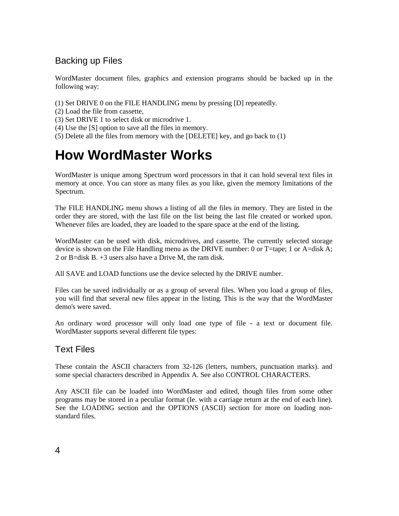# Backing up Files

WordMaster document files, graphics and extension programs should be backed up in the following way:

- (1) Set DRIVE 0 on the FILE HANDLING menu by pressing [D] repeatedly.
- (2) Load the file from cassette,
- (3) Set DRIVE 1 to select disk or microdrive 1.
- (4) Use the [S] option to save all the files in memory.
- (5) Delete all the files from memory with the [DELETE] key, and go back to (1)

# **How WordMaster Works**

WordMaster is unique among Spectrum word processors in that it can hold several text files in memory at once. You can store as many files as you like, given the memory limitations of the Spectrum.

The FILE HANDLING menu shows a listing of all the files in memory. They are listed in the order they are stored, with the last file on the list being the last file created or worked upon. Whenever files are loaded, they are loaded to the spare space at the end of the listing.

WordMaster can be used with disk, microdrives, and cassette. The currently selected storage device is shown on the File Handling menu as the DRIVE number: 0 or T=tape; 1 or A=disk A; 2 or B=disk B. +3 users also have a Drive M, the ram disk.

All SAVE and LOAD functions use the device selected hy the DRIVE number.

Files can be saved individually or as a group of several files. When you load a group of files, you will find that several new files appear in the listing. This is the way that the WordMaster demo's were saved.

An ordinary word processor will only load one type of file - a text or document file. WordMaster supports several different file types:

# Text Files

These contain the ASCII characters from 32-126 (letters, numbers, punctuation marks). and some special characters described in Appendix A. See also CONTROL CHARACTERS.

Any ASCII file can be loaded into WordMaster and edited, though files from some other programs may be stored in a peculiar format (Ie. with a carriage return at the end of each line). See the LOADING section and the OPTIONS (ASCII) section for more on loading nonstandard files.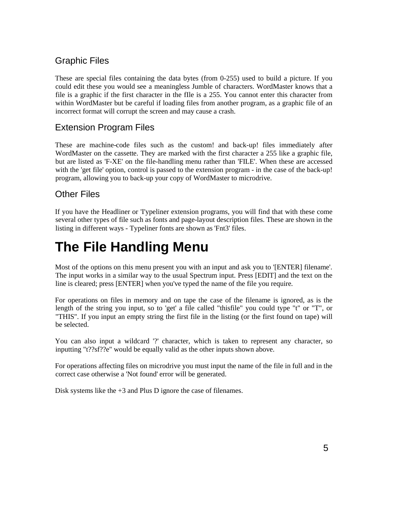# Graphic Files

These are special files containing the data bytes (from 0-255) used to build a picture. If you could edit these you would see a meaningless Jumble of characters. WordMaster knows that a file is a graphic if the first character in the fIle is a 255. You cannot enter this character from within WordMaster but be careful if loading files from another program, as a graphic file of an incorrect format will corrupt the screen and may cause a crash.

# Extension Program Files

These are machine-code files such as the custom! and back-up! files immediately after WordMaster on the cassette. They are marked with the first character a 255 like a graphic file, but are listed as 'F-XE' on the file-handling menu rather than 'FILE'. When these are accessed with the 'get file' option, control is passed to the extension program - in the case of the back-up! program, allowing you to back-up your copy of WordMaster to microdrive.

# Other Files

If you have the Headliner or 'I'ypeliner extension programs, you will find that with these come several other types of file such as fonts and page-layout description files. These are shown in the listing in different ways - Typeliner fonts are shown as 'Fnt3' files.

# **The File Handling Menu**

Most of the options on this menu present you with an input and ask you to '[ENTER] filename'. The input works in a similar way to the usual Spectrum input. Press [EDIT] and the text on the line is cleared; press [ENTER] when you've typed the name of the file you require.

For operations on files in memory and on tape the case of the filename is ignored, as is the length of the string you input, so to 'get' a file called "thisfile" you could type "t" or "T", or "THIS". If you input an empty string the first file in the listing (or the first found on tape) will be selected.

You can also input a wildcard '?' character, which is taken to represent any character, so inputting "t??sf??e" would be equally valid as the other inputs shown above.

For operations affecting files on microdrive you must input the name of the file in full and in the correct case otherwise a 'Not found' error will be generated.

Disk systems like the +3 and Plus D ignore the case of filenames.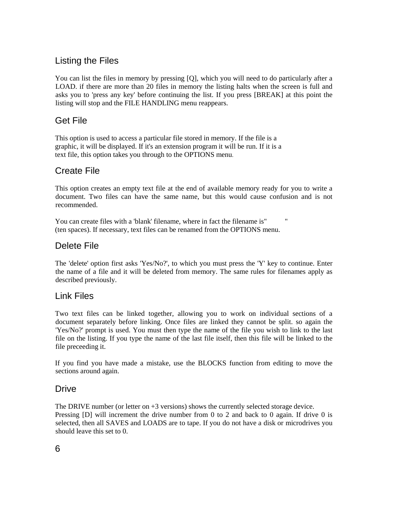# Listing the Files

You can list the files in memory by pressing [Q], which you will need to do particularly after a LOAD. if there are more than 20 files in memory the listing halts when the screen is full and asks you to 'press any key' before continuing the list. If you press [BREAK] at this point the listing will stop and the FILE HANDLING menu reappears.

# Get File

This option is used to access a particular file stored in memory. If the file is a graphic, it will be displayed. If it's an extension program it will be run. If it is a text file, this option takes you through to the OPTIONS menu.

# Create File

This option creates an empty text file at the end of available memory ready for you to write a document. Two files can have the same name, but this would cause confusion and is not recommended.

You can create files with a 'blank' filename, where in fact the filename is" " (ten spaces). If necessary, text files can be renamed from the OPTIONS menu.

# Delete File

The 'delete' option first asks 'Yes/No?', to which you must press the 'Y' key to continue. Enter the name of a file and it will be deleted from memory. The same rules for filenames apply as described previously.

### Link Files

Two text files can be linked together, allowing you to work on individual sections of a document separately before linking. Once files are linked they cannot be split. so again the 'Yes/No?' prompt is used. You must then type the name of the file you wish to link to the last file on the listing. If you type the name of the last file itself, then this file will be linked to the file preceeding it.

If you find you have made a mistake, use the BLOCKS function from editing to move the sections around again.

# Drive

The DRIVE number (or letter on  $+3$  versions) shows the currently selected storage device. Pressing [D] will increment the drive number from 0 to 2 and back to 0 again. If drive 0 is selected, then all SAVES and LOADS are to tape. If you do not have a disk or microdrives you should leave this set to 0.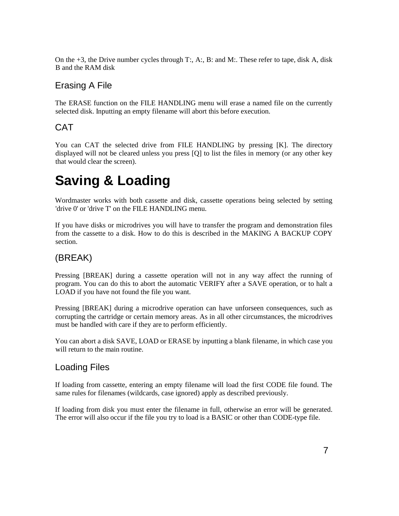On the  $+3$ , the Drive number cycles through T:, A:, B: and M:. These refer to tape, disk A, disk B and the RAM disk

# Erasing A File

The ERASE function on the FILE HANDLING menu will erase a named file on the currently selected disk. Inputting an empty filename will abort this before execution.

# CAT

You can CAT the selected drive from FILE HANDLING by pressing [K]. The directory displayed will not be cleared unless you press [Q] to list the files in memory (or any other key that would clear the screen).

# **Saving & Loading**

Wordmaster works with both cassette and disk, cassette operations being selected by setting 'drive 0' or 'drive T' on the FILE HANDLING menu.

If you have disks or microdrives you will have to transfer the program and demonstration files from the cassette to a disk. How to do this is described in the MAKING A BACKUP COPY section.

# (BREAK)

Pressing [BREAK] during a cassette operation will not in any way affect the running of program. You can do this to abort the automatic VERIFY after a SAVE operation, or to halt a LOAD if you have not found the file you want.

Pressing [BREAK] during a microdrive operation can have unforseen consequences, such as corrupting the cartridge or certain memory areas. As in all other circumstances, the microdrives must be handled with care if they are to perform efficiently.

You can abort a disk SAVE, LOAD or ERASE by inputting a blank filename, in which case you will return to the main routine.

# Loading Files

If loading from cassette, entering an empty filename will load the first CODE file found. The same rules for filenames (wildcards, case ignored) apply as described previously.

If loading from disk you must enter the filename in full, otherwise an error will be generated. The error will also occur if the file you try to load is a BASIC or other than CODE-type file.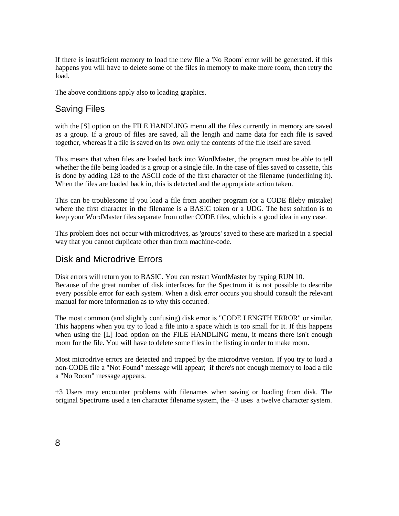If there is insufficient memory to load the new file a 'No Room' error will be generated. if this happens you will have to delete some of the files in memory to make more room, then retry the load.

The above conditions apply also to loading graphics.

# Saving Files

with the [S] option on the FILE HANDLING menu all the files currently in memory are saved as a group. If a group of files are saved, all the length and name data for each file is saved together, whereas if a file is saved on its own only the contents of the file ltself are saved.

This means that when files are loaded back into WordMaster, the program must be able to tell whether the file being loaded is a group or a single file. In the case of files saved to cassette, this is done by adding 128 to the ASCII code of the first character of the filename (underlining it). When the files are loaded back in, this is detected and the appropriate action taken.

This can be troublesome if you load a file from another program (or a CODE fileby mistake) where the first character in the filename is a BASIC token or a UDG. The best solution is to keep your WordMaster files separate from other CODE files, which is a good idea in any case.

This problem does not occur with microdrives, as 'groups' saved to these are marked in a special way that you cannot duplicate other than from machine-code.

### Disk and Microdrive Errors

Disk errors will return you to BASIC. You can restart WordMaster by typing RUN 10. Because of the great number of disk interfaces for the Spectrum it is not possible to describe every possible error for each system. When a disk error occurs you should consult the relevant manual for more information as to why this occurred.

The most common (and slightly confusing) disk error is "CODE LENGTH ERROR" or similar. This happens when you try to load a file into a space which is too small for It. If this happens when using the [L] load option on the FILE HANDLING menu, it means there isn't enough room for the file. You will have to delete some files in the listing in order to make room.

Most microdrive errors are detected and trapped by the microdrtve version. If you try to load a non-CODE file a "Not Found" message will appear; if there's not enough memory to load a file a "No Room" message appears.

+3 Users may encounter problems with filenames when saving or loading from disk. The original Spectrums used a ten character filename system, the  $+3$  uses a twelve character system.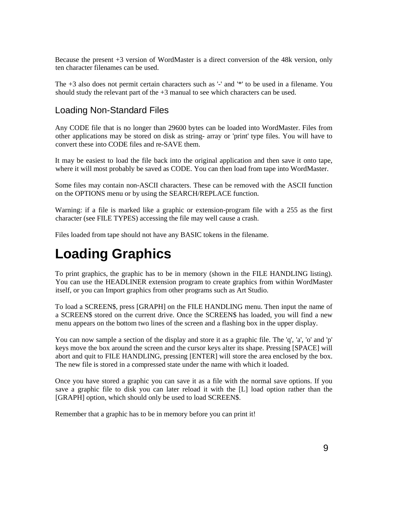Because the present +3 version of WordMaster is a direct conversion of the 48k version, only ten character filenames can be used.

The +3 also does not permit certain characters such as '-' and '\*' to be used in a filename. You should study the relevant part of the  $+3$  manual to see which characters can be used.

# Loading Non-Standard Files

Any CODE file that is no longer than 29600 bytes can be loaded into WordMaster. Files from other applications may be stored on disk as string- array or 'print' type files. You will have to convert these into CODE files and re-SAVE them.

It may be easiest to load the file back into the original application and then save it onto tape, where it will most probably be saved as CODE. You can then load from tape into WordMaster.

Some files may contain non-ASCII characters. These can be removed with the ASCII function on the OPTIONS menu or by using the SEARCH/REPLACE function.

Warning: if a file is marked like a graphic or extension-program file with a 255 as the first character (see FILE TYPES) accessing the file may well cause a crash.

Files loaded from tape should not have any BASIC tokens in the filename.

# **Loading Graphics**

To print graphics, the graphic has to be in memory (shown in the FILE HANDLING listing). You can use the HEADLINER extension program to create graphics from within WordMaster itself, or you can Import graphics from other programs such as Art Studio.

To load a SCREEN\$, press [GRAPH] on the FILE HANDLING menu. Then input the name of a SCREEN\$ stored on the current drive. Once the SCREEN\$ has loaded, you will find a new menu appears on the bottom two lines of the screen and a flashing box in the upper display.

You can now sample a section of the display and store it as a graphic file. The 'q', 'a', 'o' and 'p' keys move the box around the screen and the cursor keys alter its shape. Pressing [SPACE] will abort and quit to FILE HANDLING, pressing [ENTER] will store the area enclosed by the box. The new file is stored in a compressed state under the name with which it loaded.

Once you have stored a graphic you can save it as a file with the normal save options. If you save a graphic file to disk you can later reload it with the [L] load option rather than the [GRAPH] option, which should only be used to load SCREEN\$.

Remember that a graphic has to be in memory before you can print it!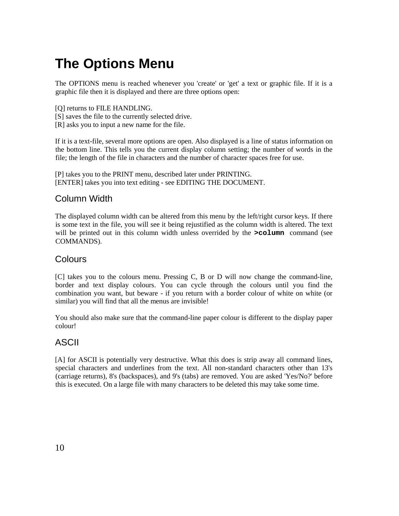# **The Options Menu**

The OPTIONS menu is reached whenever you 'create' or 'get' a text or graphic file. If it is a graphic file then it is displayed and there are three options open:

- [Q] returns to FILE HANDLING.
- [S] saves the file to the currently selected drive.
- [R] asks you to input a new name for the file.

If it is a text-file, several more options are open. Also displayed is a line of status information on the bottom line. This tells you the current display column setting; the number of words in the file; the length of the file in characters and the number of character spaces free for use.

[P] takes you to the PRINT menu, described later under PRINTING. [ENTER] takes you into text editing - see EDITING THE DOCUMENT.

# Column Width

The displayed column width can be altered from this menu by the left/right cursor keys. If there is some text in the file, you will see it being rejustified as the column width is altered. The text will be printed out in this column width unless overrided by the **>column** command (see COMMANDS).

### Colours

[C] takes you to the colours menu. Pressing C, B or D will now change the command-line, border and text display colours. You can cycle through the colours until you find the combination you want, but beware - if you return with a border colour of white on white (or similar) you will find that all the menus are invisible!

You should also make sure that the command-line paper colour is different to the display paper colour!

#### ASCII

[A] for ASCII is potentially very destructive. What this does is strip away all command lines, special characters and underlines from the text. All non-standard characters other than 13's (carriage returns), 8's (backspaces), and 9's (tabs) are removed. You are asked 'Yes/No?' before this is executed. On a large file with many characters to be deleted this may take some time.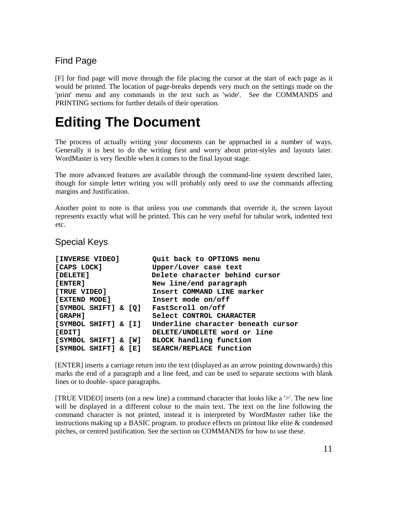# Find Page

[F] for find page will move through the file placing the cursor at the start of each page as it would be printed. The location of page-breaks depends very much on the settings made on the 'print' menu and any commands in the text such as 'wide'. See the COMMANDS and PRINTING sections for further details of their operation.

# **Editing The Document**

The process of actually writing your documents can be approached in a number of ways. Generally it is best to do the writing first and worry about print-styles and layouts later. WordMaster is very flexible when it comes to the final layout stage.

The more advanced features are available through the command-line system described later, though for simple letter writing you will probably only need to use the commands affecting margins and Justification.

Another point to note is that unless you use commands that override it, the screen layout represents exactly what will be printed. This can he very useful for tabular work, indented text etc.

#### Special Keys

| [INVERSE VIDEO]                  | Quit back to OPTIONS menu          |
|----------------------------------|------------------------------------|
| [CAPS LOCK]                      | Upper/Lover case text              |
| [DELETE]                         | Delete character behind cursor     |
| [ENTER]                          | New line/end paragraph             |
| [TRUE VIDEO]                     | Insert COMMAND LINE marker         |
| [EXTEND MODE]                    | Insert mode on/off                 |
| [SYMBOL SHIFT] & [Q]             | FastScroll on/off                  |
| <b>GRAPH1</b>                    | Select CONTROL CHARACTER           |
| [SYMBOL SHIFT] & [I]             | Underline character beneath cursor |
| [EDIT]                           | DELETE/UNDELETE word or line       |
| SYMBOL SHIFT] & [W]              | BLOCK handling function            |
| $[$ SYMBOL SHIFT $]$ & $[$ E $]$ | SEARCH/REPLACE function            |

[ENTER] inserts a carriage return into the text (displayed as an arrow pointing downwards) this marks the end of a paragraph and a line feed, and can be used to separate sections with blank lines or to double- space paragraphs.

[TRUE VIDEO] inserts (on a new line) a command character that looks like a '>'. The new line will be displayed in a different colour to the main text. The text on the line following the command character is not printed, instead it is interpreted by WordMaster rather like the instructions making up a BASIC program. to produce effects on printout like elite & condensed pitches, or centred justification. See the section on COMMANDS for how to use these.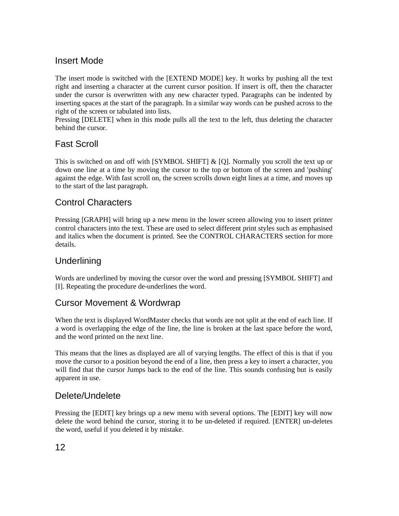# Insert Mode

The insert mode is switched with the [EXTEND MODE] key. It works by pushing all the text right and inserting a character at the current cursor position. If insert is off, then the character under the cursor is overwritten with any new character typed. Paragraphs can be indented by inserting spaces at the start of the paragraph. In a similar way words can be pushed across to the right of the screen or tabulated into lists.

Pressing [DELETE] when in this mode pulls all the text to the left, thus deleting the character behind the cursor.

# Fast Scroll

This is switched on and off with [SYMBOL SHIFT]  $\&$  [Q]. Normally you scroll the text up or down one line at a time by moving the cursor to the top or bottom of the screen and 'pushing' against the edge. With fast scroll on, the screen scrolls down eight lines at a time, and moves up to the start of the last paragraph.

# Control Characters

Pressing [GRAPH] will bring up a new menu in the lower screen allowing you to insert printer control characters into the text. These are used to select different print styles such as emphasised and italics when the document is printed. See the CONTROL CHARACTERS section for more details.

# **Underlining**

Words are underlined by moving the cursor over the word and pressing [SYMBOL SHIFT] and [I]. Repeating the procedure de-underlines the word.

# Cursor Movement & Wordwrap

When the text is displayed WordMaster checks that words are not split at the end of each line. If a word is overlapping the edge of the line, the line is broken at the last space before the word, and the word printed on the next line.

This means that the lines as displayed are all of varying lengths. The effect of this is that if you move the cursor to a position beyond the end of a line, then press a key to insert a character, you will find that the cursor Jumps back to the end of the line. This sounds confusing but is easily apparent in use.

# Delete/Undelete

Pressing the [EDIT] key brings up a new menu with several options. The [EDIT] key will now delete the word behind the cursor, storing it to be un-deleted if required. [ENTER] un-deletes the word, useful if you deleted it by mistake.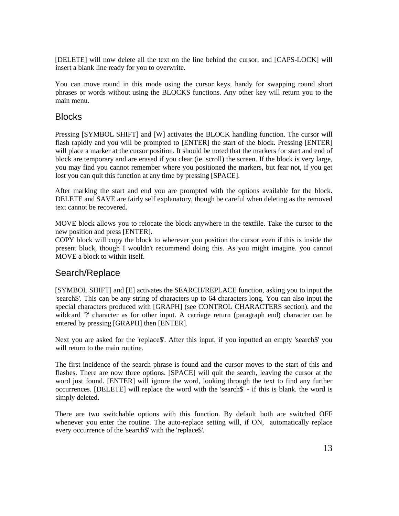[DELETE] will now delete all the text on the line behind the cursor, and [CAPS-LOCK] will insert a blank line ready for you to overwrite.

You can move round in this mode using the cursor keys, handy for swapping round short phrases or words without using the BLOCKS functions. Any other key will return you to the main menu.

#### Blocks

Pressing [SYMBOL SHIFT] and [W] activates the BLOCK handling function. The cursor will flash rapidly and you will be prompted to [ENTER] the start of the block. Pressing [ENTER] will place a marker at the cursor position. It should be noted that the markers for start and end of block are temporary and are erased if you clear (ie. scroll) the screen. If the block is very large, you may find you cannot remember where you positioned the markers, but fear not, if you get lost you can quit this function at any time by pressing [SPACE].

After marking the start and end you are prompted with the options available for the block. DELETE and SAVE are fairly self explanatory, though be careful when deleting as the removed text cannot be recovered.

MOVE block allows you to relocate the block anywhere in the textfile. Take the cursor to the new position and press [ENTER].

COPY block will copy the block to wherever you position the cursor even if this is inside the present block, though I wouldn't recommend doing this. As you might imagine. you cannot MOVE a block to within itself.

### Search/Replace

[SYMBOL SHIFT] and [E] activates the SEARCH/REPLACE function, asking you to input the 'search\$'. This can be any string of characters up to 64 characters long. You can also input the special characters produced with [GRAPH] (see CONTROL CHARACTERS section). and the wildcard '?' character as for other input. A carriage return (paragraph end) character can be entered by pressing [GRAPH] then [ENTER].

Next you are asked for the 'replace\$'. After this input, if you inputted an empty 'search\$' you will return to the main routine.

The first incidence of the search phrase is found and the cursor moves to the start of this and flashes. There are now three options. [SPACE] will quit the search, leaving the cursor at the word just found. [ENTER] will ignore the word, looking through the text to find any further occurrences. [DELETE] will replace the word with the 'search\$' - if this is blank. the word is simply deleted.

There are two switchable options with this function. By default both are switched OFF whenever you enter the routine. The auto-replace setting will, if ON, automatically replace every occurrence of the 'search\$' with the 'replace\$'.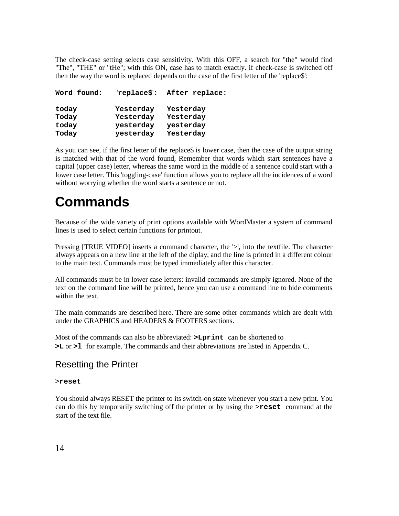The check-case setting selects case sensitivity. With this OFF, a search for "the" would find "The", "THE" or "tHe"; with this ON, case has to match exactly. if check-case is switched off then the way the word is replaced depends on the case of the first letter of the 'replace\$':

| Word found: | 'replace\$': | After replace: |
|-------------|--------------|----------------|
| today       | Yesterday    | Yesterday      |
| Today       | Yesterday    | Yesterday      |
| today       | yesterday    | yesterday      |
| Today       | yesterday    | Yesterday      |

As you can see, if the first letter of the replace\$ is lower case, then the case of the output string is matched with that of the word found, Remember that words which start sentences have a capital (upper case) letter, whereas the same word in the middle of a sentence could start with a lower case letter. This 'toggling-case' function allows you to replace all the incidences of a word without worrying whether the word starts a sentence or not.

# **Commands**

Because of the wide variety of print options available with WordMaster a system of command lines is used to select certain functions for printout.

Pressing [TRUE VIDEO] inserts a command character, the '>', into the textfile. The character always appears on a new line at the left of the diplay, and the line is printed in a different colour to the main text. Commands must be typed immediately after this character.

All commands must be in lower case letters: invalid commands are simply ignored. None of the text on the command line will be printed, hence you can use a command line to hide comments within the text.

The main commands are described here. There are some other commands which are dealt with under the GRAPHICS and HEADERS & FOOTERS sections.

Most of the commands can also be abbreviated: **>Lprint** can be shortened to **>L** or **>l** for example. The commands and their abbreviations are listed in Appendix C.

### Resetting the Printer

#### >**reset**

You should always RESET the printer to its switch-on state whenever you start a new print. You can do this by temporarily switching off the printer or by using the >**reset** command at the start of the text file.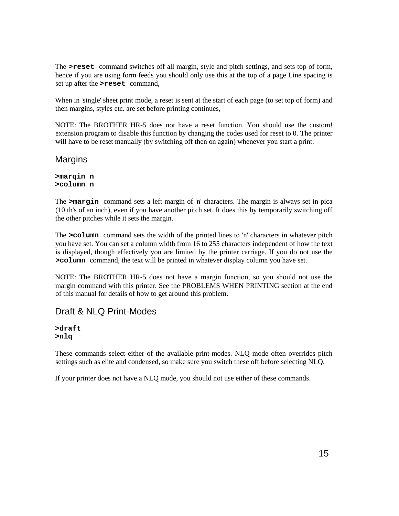The **>reset** command switches off all margin, style and pitch settings, and sets top of form, hence if you are using form feeds you should only use this at the top of a page Line spacing is set up after the **>reset** command,

When in 'single' sheet print mode, a reset is sent at the start of each page (to set top of form) and then margins, styles etc. are set before printing continues,

NOTE: The BROTHER HR-5 does not have a reset function. You should use the custom! extension program to disable this function by changing the codes used for reset to 0. The printer will have to be reset manually (by switching off then on again) whenever you start a print.

#### **Margins**

**>marqin n >column n**

The **>margin** command sets a left margin of 'n' characters. The margin is always set in pica (10 th's of an inch), even if you have another pitch set. It does this by temporarily switching off the other pitches while it sets the margin.

The **>column** command sets the width of the printed lines to 'n' characters in whatever pitch you have set. You can set a column width from 16 to 255 characters independent of how the text is displayed, though effectively you are limited by the printer carriage. If you do not use the **>column** command, the text will be printed in whatever display column you have set.

NOTE: The BROTHER HR-5 does not have a margin function, so you should not use the margin command with this printer. See the PROBLEMS WHEN PRINTING section at the end of this manual for details of how to get around this problem.

# Draft & NLQ Print-Modes

**>draft >nlq**

These commands select either of the available print-modes. NLQ mode often overrides pitch settings such as elite and condensed, so make sure you switch these off before selecting NLQ.

If your printer does not have a NLQ mode, you should not use either of these commands.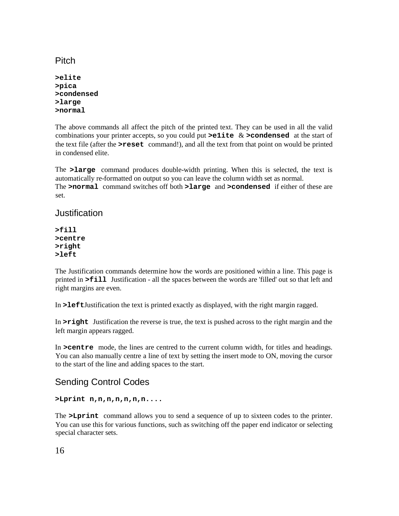# **Pitch**

**>elite >pica >condensed >large >normal**

The above commands all affect the pitch of the printed text. They can be used in all the valid combinations your printer accepts, so you could put **>e1ite** & **>condensed** at the start of the text file (after the **>reset** command!), and all the text from that point on would be printed in condensed elite.

The **>large** command produces double-width printing. When this is selected, the text is automatically re-formatted on output so you can leave the column width set as normal. The **>normal** command switches off both **>large** and **>condensed** if either of these are set.

#### Justification

**>fill >centre >right >left**

The Justification commands determine how the words are positioned within a line. This page is printed in **>fill** Justification - all the spaces between the words are 'filled' out so that left and right margins are even.

In **>left**Justification the text is printed exactly as displayed, with the right margin ragged.

In **>right** Justification the reverse is true, the text is pushed across to the right margin and the left margin appears ragged.

In **>centre** mode, the lines are centred to the current column width, for titles and headings. You can also manually centre a line of text by setting the insert mode to ON, moving the cursor to the start of the line and adding spaces to the start.

# Sending Control Codes

#### **>Lprint n,n,n,n,n,n,n....**

The **>Lprint** command allows you to send a sequence of up to sixteen codes to the printer. You can use this for various functions, such as switching off the paper end indicator or selecting special character sets.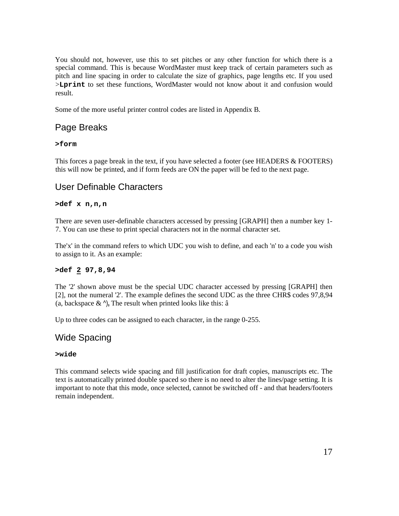You should not, however, use this to set pitches or any other function for which there is a special command. This is because WordMaster must keep track of certain parameters such as pitch and line spacing in order to calculate the size of graphics, page lengths etc. If you used >**Lprint** to set these functions, WordMaster would not know about it and confusion would result.

Some of the more useful printer control codes are listed in Appendix B.

# Page Breaks

#### **>form**

This forces a page break in the text, if you have selected a footer (see HEADERS & FOOTERS) this will now be printed, and if form feeds are ON the paper will be fed to the next page.

# User Definable Characters

#### **>def x n,n,n**

There are seven user-definable characters accessed by pressing [GRAPH] then a number key 1- 7. You can use these to print special characters not in the normal character set.

The'x' in the command refers to which UDC you wish to define, and each 'n' to a code you wish to assign to it. As an example:

#### **>def 2 97,8,94**

The '2' shown above must be the special UDC character accessed by pressing [GRAPH] then [2], not the numeral '2'. The example defines the second UDC as the three CHR\$ codes 97,8,94 (a, backspace  $\& \hat{\ }$ ), The result when printed looks like this:  $\hat{a}$ 

Up to three codes can be assigned to each character, in the range 0-255.

# Wide Spacing

#### **>wide**

This command selects wide spacing and fill justification for draft copies, manuscripts etc. The text is automatically printed double spaced so there is no need to alter the lines/page setting. It is important to note that this mode, once selected, cannot be switched off - and that headers/footers remain independent.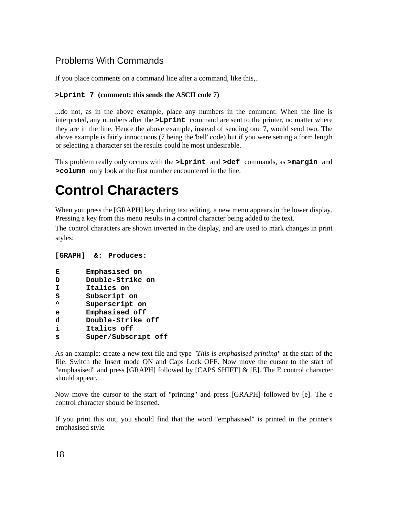# Problems With Commands

If you place comments on a command line after a command, like this,..

#### **>Lprint 7 (comment: this sends the ASCII code 7)**

...do not, as in the above example, place any numbers in the comment. When the line is interpreted, any numbers after the **>Lprint** command are sent to the printer, no matter where they are in the line. Hence the above example, instead of sending one 7, would send two. The above example is fairly innoccuous (7 being the 'bell' code) but if you were setting a form length or selecting a character set the results could he most undesirable.

This problem really only occurs with the **>Lprint** and **>def** commands, as **>margin** and **>column** only look at the first number encountered in the line.

# **Control Characters**

When you press the [GRAPH] key during text editing, a new menu appears in the lower display. Pressing a key from this menu results in a control character being added to the text.

The control characters are shown inverted in the display, and are used to mark changes in print styles:

#### **[GRAPH] &: Produces:**

```
E Emphasised on
```
- **D Double-Strike on**
- **I Italics on**
- **S Subscript on**
- **^ Superscript on**
- **e Emphasised off**
- **d Double-Strike off**
- **i Italics off**
- **s Super/Subscript off**

As an example: create a new text file and type *"This is emphasised printing"* at the start of the file. Switch the Insert mode ON and Caps Lock OFF. Now move the cursor to the start of "emphasised" and press [GRAPH] followed by [CAPS SHIFT]  $\&$  [E]. The  $E$  control character should appear.

Now move the cursor to the start of "printing" and press [GRAPH] followed by [e]. The e control character should be inserted.

If you print this out, you should find that the word "emphasised" is printed in the printer's emphasised style.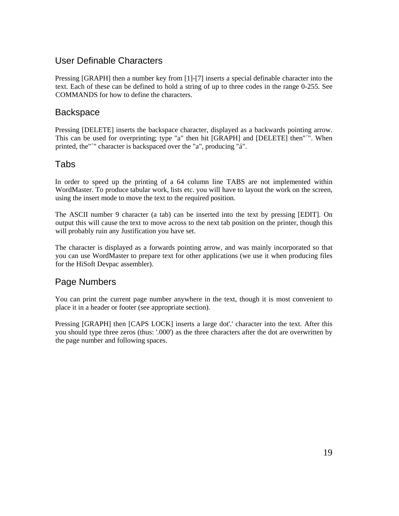# User Definable Characters

Pressing [GRAPH] then a number key from [1]-[7] inserts a special definable character into the text. Each of these can be defined to hold a string of up to three codes in the range 0-255. See COMMANDS for how to define the characters.

### **Backspace**

Pressing [DELETE] inserts the backspace character, displayed as a backwards pointing arrow. This can be used for overprinting; type "a" then hit [GRAPH] and [DELETE] then"´". When printed, the"´" character is backspaced over the "a", producing "á".

# Tabs

In order to speed up the printing of a 64 column line TABS are not implemented within WordMaster. To produce tabular work, lists etc. you will have to layout the work on the screen, using the insert mode to move the text to the required position.

The ASCII number 9 character (a tab) can be inserted into the text by pressing [EDIT]. On output this will cause the text to move across to the next tab position on the printer, though this will probably ruin any Justification you have set.

The character is displayed as a forwards pointing arrow, and was mainly incorporated so that you can use WordMaster to prepare text for other applications (we use it when producing files for the HiSoft Devpac assembler).

# Page Numbers

You can print the current page number anywhere in the text, though it is most convenient to place it in a header or footer (see appropriate section).

Pressing [GRAPH] then [CAPS LOCK] inserts a large dot'.' character into the text. After this you should type three zeros (thus: '.000') as the three characters after the dot are overwritten by the page number and following spaces.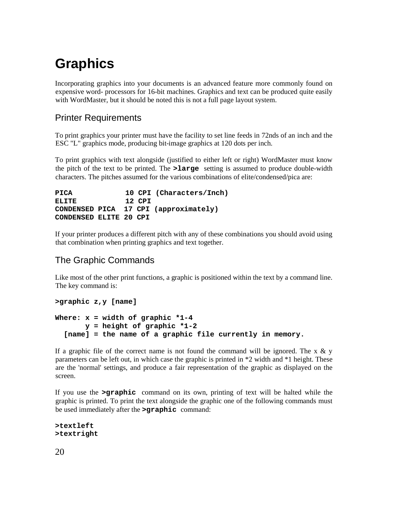# **Graphics**

Incorporating graphics into your documents is an advanced feature more commonly found on expensive word- processors for 16-bit machines. Graphics and text can be produced quite easily with WordMaster, but it should be noted this is not a full page layout system.

# Printer Requirements

To print graphics your printer must have the facility to set line feeds in 72nds of an inch and the ESC "L" graphics mode, producing bit-image graphics at 120 dots per inch.

To print graphics with text alongside (justified to either left or right) WordMaster must know the pitch of the text to be printed. The **>large** setting is assumed to produce double-width characters. The pitches assumed for the various combinations of elite/condensed/pica are:

```
PICA 10 CPI (Characters/Inch)
ELITE 12 CPI
CONDENSED PICA 17 CPI (approximately)
CONDENSED ELITE 20 CPI
```
If your printer produces a different pitch with any of these combinations you should avoid using that combination when printing graphics and text together.

# The Graphic Commands

Like most of the other print functions, a graphic is positioned within the text by a command line. The key command is:

```
>graphic z,y [name]
Where: x = width of graphic *1-4 
        y = height of graphic *1-2
   [name] = the name of a graphic file currently in memory.
```
If a graphic file of the correct name is not found the command will be ignored. The x  $\&$  y parameters can be left out, in which case the graphic is printed in \*2 width and \*1 height. These are the 'normal' settings, and produce a fair representation of the graphic as displayed on the screen.

If you use the **>graphic** command on its own, printing of text will be halted while the graphic is printed. To print the text alongside the graphic one of the following commands must be used immediately after the **>graphic** command:

```
>textleft
>textright
```
20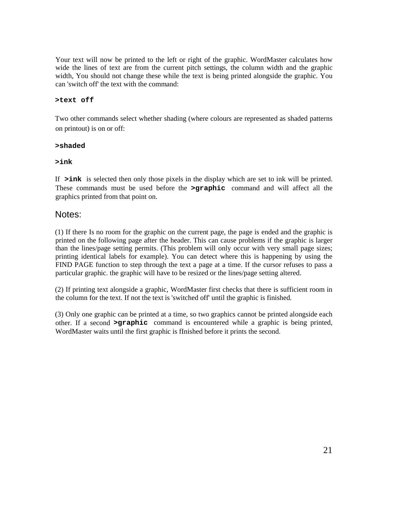Your text will now be printed to the left or right of the graphic. WordMaster calculates how wide the lines of text are from the current pitch settings, the column width and the graphic width, You should not change these while the text is being printed alongside the graphic. You can 'switch off' the text with the command:

#### **>text off**

Two other commands select whether shading (where colours are represented as shaded patterns on printout) is on or off:

#### **>shaded**

#### **>ink**

If **>ink** is selected then only those pixels in the display which are set to ink will be printed. These commands must be used before the **>graphic** command and will affect all the graphics printed from that point on.

#### Notes:

(1) If there Is no room for the graphic on the current page, the page is ended and the graphic is printed on the following page after the header. This can cause problems if the graphic is larger than the lines/page setting permits. (This problem will only occur with very small page sizes; printing identical labels for example). You can detect where this is happening by using the FIND PAGE function to step through the text a page at a time. If the cursor refuses to pass a particular graphic. the graphic will have to be resized or the lines/page setting altered.

(2) If printing text alongside a graphic, WordMaster first checks that there is sufficient room in the column for the text. If not the text is 'switched off' until the graphic is finished.

(3) Only one graphic can be printed at a time, so two graphics cannot be printed alongside each other. If a second **>graphic** command is encountered while a graphic is being printed, WordMaster waits until the first graphic is fInished before it prints the second.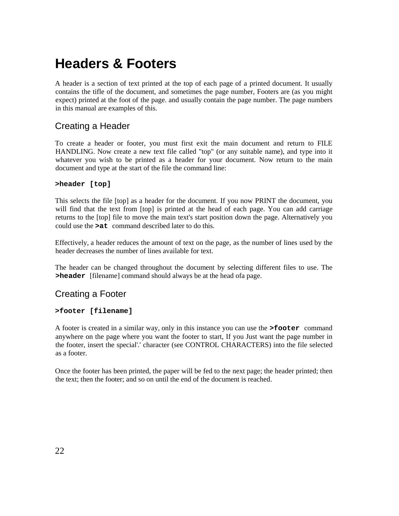# **Headers & Footers**

A header is a section of text printed at the top of each page of a printed document. It usually contains the tifle of the document, and sometimes the page number, Footers are (as you might expect) printed at the foot of the page. and usually contain the page number. The page numbers in this manual are examples of this.

# Creating a Header

To create a header or footer, you must first exit the main document and return to FILE HANDLING. Now create a new text file called "top" (or any suitable name), and type into it whatever you wish to be printed as a header for your document. Now return to the main document and type at the start of the file the command line:

#### **>header [top]**

This selects the file [top] as a header for the document. If you now PRINT the document, you will find that the text from [top] is printed at the head of each page. You can add carriage returns to the [top] file to move the main text's start position down the page. Alternatively you could use the **>at** command described later to do this.

Effectively, a header reduces the amount of text on the page, as the number of lines used by the header decreases the number of lines available for text.

The header can be changed throughout the document by selecting different files to use. The **>header** [filename] command should always be at the head ofa page.

### Creating a Footer

#### **>footer [filename]**

A footer is created in a similar way, only in this instance you can use the **>footer** command anywhere on the page where you want the footer to start, If you Just want the page number in the footer, insert the special'.' character (see CONTROL CHARACTERS) into the file selected as a footer.

Once the footer has been printed, the paper will be fed to the next page; the header printed; then the text; then the footer; and so on until the end of the document is reached.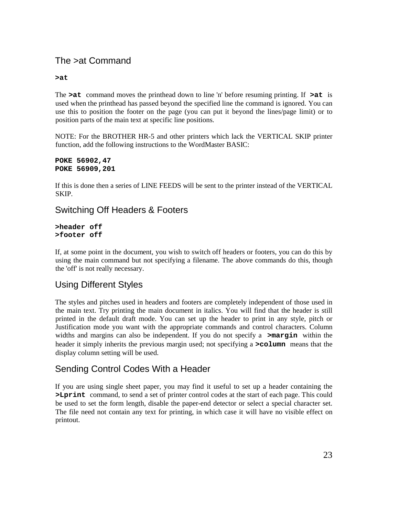# The >at Command

#### **>at**

The **>at** command moves the printhead down to line 'n' before resuming printing. If **>at** is used when the printhead has passed beyond the specified line the command is ignored. You can use this to position the footer on the page (you can put it beyond the lines/page limit) or to position parts of the main text at specific line positions.

NOTE: For the BROTHER HR-5 and other printers which lack the VERTICAL SKIP printer function, add the following instructions to the WordMaster BASIC:

```
POKE 56902,47
POKE 56909,201
```
If this is done then a series of LINE FEEDS will be sent to the printer instead of the VERTICAL SKIP.

### Switching Off Headers & Footers

#### **>header off >footer off**

If, at some point in the document, you wish to switch off headers or footers, you can do this by using the main command but not specifying a filename. The above commands do this, though the 'off' is not really necessary.

# Using Different Styles

The styles and pitches used in headers and footers are completely independent of those used in the main text. Try printing the main document in italics. You will find that the header is still printed in the default draft mode. You can set up the header to print in any style, pitch or Justification mode you want with the appropriate commands and control characters. Column widths and margins can also be independent. If you do not specify a **>margin** within the header it simply inherits the previous margin used; not specifying a **>column** means that the display column setting will be used.

# Sending Control Codes With a Header

If you are using single sheet paper, you may find it useful to set up a header containing the **>Lprint** command, to send a set of printer control codes at the start of each page. This could be used to set the form length, disable the paper-end detector or select a special character set. The file need not contain any text for printing, in which case it will have no visible effect on printout.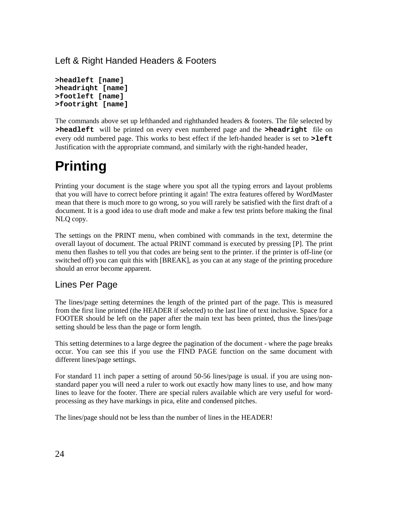Left & Right Handed Headers & Footers

```
>headleft [name]
>headriqht [name]
>footleft [name]
>footright [name]
```
The commands above set up lefthanded and righthanded headers & footers. The file selected by **>headleft** will be printed on every even numbered page and the **>headright** file on every odd numbered page. This works to best effect if the left-handed header is set to **>left**  Justification with the appropriate command, and similarly with the right-handed header,

# **Printing**

Printing your document is the stage where you spot all the typing errors and layout problems that you will have to correct before printing it again! The extra features offered by WordMaster mean that there is much more to go wrong, so you will rarely be satisfied with the first draft of a document. It is a good idea to use draft mode and make a few test prints before making the final NLQ copy.

The settings on the PRINT menu, when combined with commands in the text, determine the overall layout of document. The actual PRINT command is executed by pressing [P]. The print menu then flashes to tell you that codes are being sent to the printer. if the printer is off-line (or switched off) you can quit this with [BREAK], as you can at any stage of the printing procedure should an error become apparent.

# Lines Per Page

The lines/page setting determines the length of the printed part of the page. This is measured from the first line printed (the HEADER if selected) to the last line of text inclusive. Space for a FOOTER should be left on the paper after the main text has been printed, thus the lines/page setting should be less than the page or form length.

This setting determines to a large degree the pagination of the document - where the page breaks occur. You can see this if you use the FIND PAGE function on the same document with different lines/page settings.

For standard 11 inch paper a setting of around 50-56 lines/page is usual. if you are using nonstandard paper you will need a ruler to work out exactly how many lines to use, and how many lines to leave for the footer. There are special rulers available which are very useful for wordprocessing as they have markings in pica, elite and condensed pitches.

The lines/page should not be less than the number of lines in the HEADER!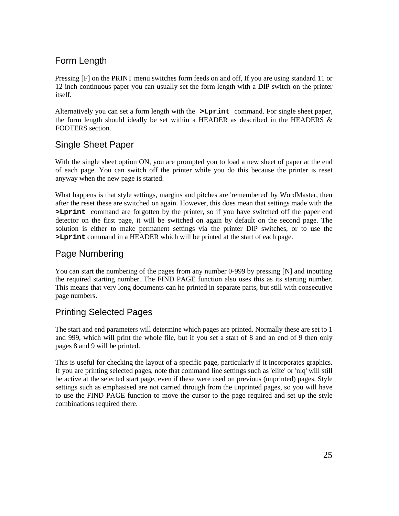# Form Length

Pressing [F] on the PRINT menu switches form feeds on and off, If you are using standard 11 or 12 inch continuous paper you can usually set the form length with a DIP switch on the printer itself.

Alternatively you can set a form length with the **>Lprint** command. For single sheet paper, the form length should ideally be set within a HEADER as described in the HEADERS  $\&$ FOOTERS section.

# Single Sheet Paper

With the single sheet option ON, you are prompted you to load a new sheet of paper at the end of each page. You can switch off the printer while you do this because the printer is reset anyway when the new page is started.

What happens is that style settings, margins and pitches are 'remembered' by WordMaster, then after the reset these are switched on again. However, this does mean that settings made with the **>Lprint** command are forgotten by the printer, so if you have switched off the paper end detector on the first page, it will be switched on again by default on the second page. The solution is either to make permanent settings via the printer DIP switches, or to use the **>Lprint** command in a HEADER which will be printed at the start of each page.

# Page Numbering

You can start the numbering of the pages from any number 0-999 by pressing [N] and inputting the required starting number. The FIND PAGE function also uses this as its starting number. This means that very long documents can he printed in separate parts, but still with consecutive page numbers.

# Printing Selected Pages

The start and end parameters will determine which pages are printed. Normally these are set to 1 and 999, which will print the whole file, but if you set a start of 8 and an end of 9 then only pages 8 and 9 will be printed.

This is useful for checking the layout of a specific page, particularly if it incorporates graphics. If you are printing selected pages, note that command line settings such as 'elite' or 'nlq' will still be active at the selected start page, even if these were used on previous (unprinted) pages. Style settings such as emphasised are not carried through from the unprinted pages, so you will have to use the FIND PAGE function to move the cursor to the page required and set up the style combinations required there.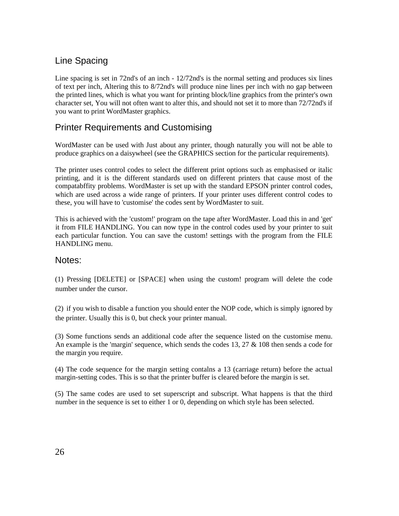# Line Spacing

Line spacing is set in 72nd's of an inch - 12/72nd's is the normal setting and produces six lines of text per inch, Altering this to 8/72nd's will produce nine lines per inch with no gap between the printed lines, which is what you want for printing block/line graphics from the printer's own character set, You will not often want to alter this, and should not set it to more than 72/72nd's if you want to print WordMaster graphics.

# Printer Requirements and Customising

WordMaster can be used with Just about any printer, though naturally you will not be able to produce graphics on a daisywheel (see the GRAPHICS section for the particular requirements).

The printer uses control codes to select the different print options such as emphasised or italic printing, and it is the different standards used on different printers that cause most of the compatabffity problems. WordMaster is set up with the standard EPSON printer control codes, which are used across a wide range of printers. If your printer uses different control codes to these, you will have to 'customise' the codes sent by WordMaster to suit.

This is achieved with the 'custom!' program on the tape after WordMaster. Load this in and 'get' it from FILE HANDLING. You can now type in the control codes used by your printer to suit each particular function. You can save the custom! settings with the program from the FILE HANDLING menu.

#### Notes:

(1) Pressing [DELETE] or [SPACE] when using the custom! program will delete the code number under the cursor.

(2) if you wish to disable a function you should enter the NOP code, which is simply ignored by the printer. Usually this is 0, but check your printer manual.

(3) Some functions sends an additional code after the sequence listed on the customise menu. An example is the 'margin' sequence, which sends the codes 13, 27  $&$  108 then sends a code for the margin you require.

(4) The code sequence for the margin setting contalns a 13 (carriage return) before the actual margin-setting codes. This is so that the printer buffer is cleared before the margin is set.

(5) The same codes are used to set superscript and subscript. What happens is that the third number in the sequence is set to either 1 or 0, depending on which style has been selected.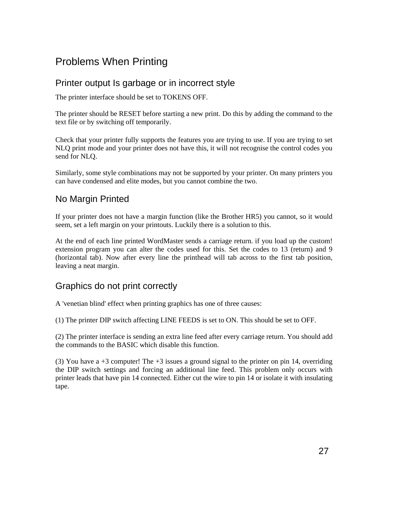# Problems When Printing

# Printer output Is garbage or in incorrect style

The printer interface should be set to TOKENS OFF.

The printer should be RESET before starting a new print. Do this by adding the command to the text file or by switching off temporarily.

Check that your printer fully supports the features you are trying to use. If you are trying to set NLQ print mode and your printer does not have this, it will not recognise the control codes you send for NLQ.

Similarly, some style combinations may not be supported by your printer. On many printers you can have condensed and elite modes, but you cannot combine the two.

# No Margin Printed

If your printer does not have a margin function (like the Brother HR5) you cannot, so it would seem, set a left margin on your printouts. Luckily there is a solution to this.

At the end of each line printed WordMaster sends a carriage return. if you load up the custom! extension program you can alter the codes used for this. Set the codes to 13 (return) and 9 (horizontal tab). Now after every line the printhead will tab across to the first tab position, leaving a neat margin.

# Graphics do not print correctly

A 'venetian blind' effect when printing graphics has one of three causes:

(1) The printer DIP switch affecting LINE FEEDS is set to ON. This should be set to OFF.

(2) The printer interface is sending an extra line feed after every carriage return. You should add the commands to the BASIC which disable this function.

(3) You have a  $+3$  computer! The  $+3$  issues a ground signal to the printer on pin 14, overriding the DIP switch settings and forcing an additional line feed. This problem only occurs with printer leads that have pin 14 connected. Either cut the wire to pin 14 or isolate it with insulating tape.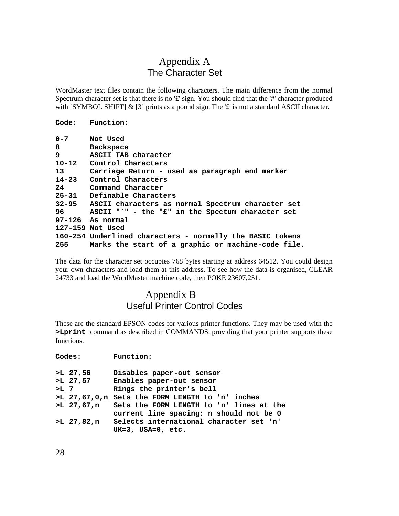# Appendix A The Character Set

WordMaster text files contain the following characters. The main difference from the normal Spectrum character set is that there is no '£' sign. You should find that the '#' character produced with [SYMBOL SHIFT] & [3] prints as a pound sign. The '£' is not a standard ASCII character.

#### **Code: Function:**

| $0 - 7$   | Not Used                                                  |
|-----------|-----------------------------------------------------------|
| 8         | <b>Backspace</b>                                          |
| 9         | ASCII TAB character                                       |
| $10 - 12$ | Control Characters                                        |
| 13        | Carriage Return - used as paragraph end marker            |
| $14 - 23$ | Control Characters                                        |
| 24        | Command Character                                         |
| $25 - 31$ | Definable Characters                                      |
|           | 32-95 ASCII characters as normal Spectrum character set   |
| 96 —      | ASCII "`" - the "£" in the Spectum character set          |
|           | 97-126 As normal                                          |
|           | 127-159 Not Used                                          |
|           | 160-254 Underlined characters - normally the BASIC tokens |
| 255       | Marks the start of a graphic or machine-code file.        |

The data for the character set occupies 768 bytes starting at address 64512. You could design your own characters and load them at this address. To see how the data is organised, CLEAR 24733 and load the WordMaster machine code, then POKE 23607,251.

# Appendix B Useful Printer Control Codes

These are the standard EPSON codes for various printer functions. They may be used with the **>Lprint** command as described in COMMANDS, providing that your printer supports these functions.

**Codes: Function:**

| Disables paper-out sensor                           |
|-----------------------------------------------------|
| Enables paper-out sensor                            |
| Rings the printer's bell                            |
| >L 27,67,0,n Sets the FORM LENGTH to 'n' inches     |
| >L 27,67,n Sets the FORM LENGTH to 'n' lines at the |
| current line spacing: n should not be 0             |
| Selects international character set 'n'             |
| $UK=3$ , $USA=0$ , $etc.$                           |
| $>L$ 27,56<br>$>L$ 27,57<br>$>$ L 7<br>$>L$ 27,82,n |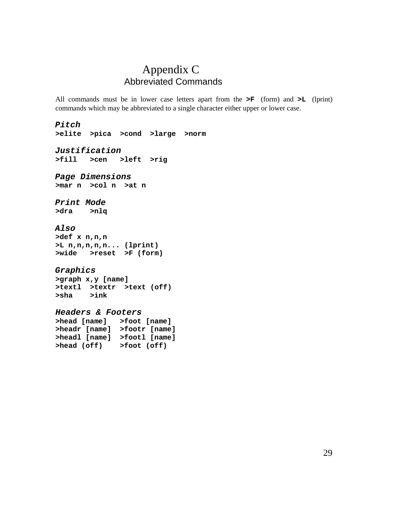# Appendix C Abbreviated Commands

All commands must be in lower case letters apart from the **>F** (form) and **>L** (lprint) commands which may be abbreviated to a single character either upper or lower case.

*Pitch* **>elite >pica >cond >large >norm** *Justification* **>fill >cen >left >rig** *Page Dimensions* **>mar n >col n >at n** *Print Mode* **>dra >nlq** *Also* **>def x n,n,n >L n,n,n,n,n... (lprint) >wide >reset >F (form)** *Graphics* **>graph x,y [name] >textl >textr >text (off) >sha >ink** *Headers & Footers* **>head [name] >foot [name] >headr [name] >footr [name] >headl [name] >footl [name] >head (off) >foot (off)**